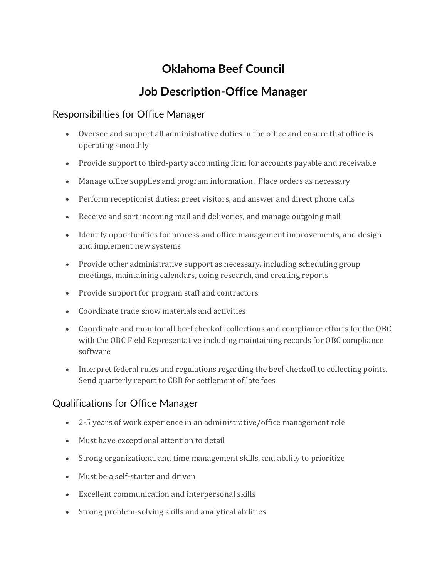# **Oklahoma Beef Council**

## **Job Description-Office Manager**

### Responsibilities for Office Manager

- Oversee and support all administrative duties in the office and ensure that office is operating smoothly
- Provide support to third-party accounting firm for accounts payable and receivable
- Manage office supplies and program information. Place orders as necessary
- Perform receptionist duties: greet visitors, and answer and direct phone calls
- Receive and sort incoming mail and deliveries, and manage outgoing mail
- Identify opportunities for process and office management improvements, and design and implement new systems
- Provide other administrative support as necessary, including scheduling group meetings, maintaining calendars, doing research, and creating reports
- Provide support for program staff and contractors
- Coordinate trade show materials and activities
- Coordinate and monitor all beef checkoff collections and compliance efforts for the OBC with the OBC Field Representative including maintaining records for OBC compliance software
- Interpret federal rules and regulations regarding the beef checkoff to collecting points. Send quarterly report to CBB for settlement of late fees

### Qualifications for Office Manager

- 2-5 years of work experience in an administrative/office management role
- Must have exceptional attention to detail
- Strong organizational and time management skills, and ability to prioritize
- Must be a self-starter and driven
- Excellent communication and interpersonal skills
- Strong problem-solving skills and analytical abilities